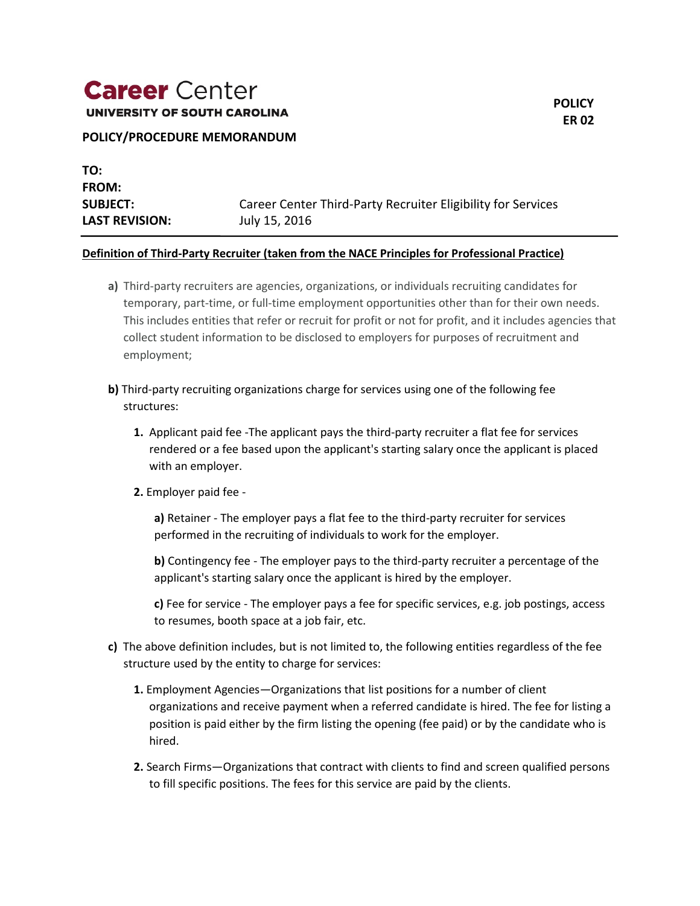# **Career** Center

UNIVERSITY OF SOUTH CAROLINA

**TO: FROM: SUBJECT:** Career Center Third-Party Recruiter Eligibility for Services **LAST REVISION:** July 15, 2016

#### **Definition of Third-Party Recruiter (taken from the NACE Principles for Professional Practice)**

- **a)** Third-party recruiters are agencies, organizations, or individuals recruiting candidates for temporary, part-time, or full-time employment opportunities other than for their own needs. This includes entities that refer or recruit for profit or not for profit, and it includes agencies that collect student information to be disclosed to employers for purposes of recruitment and employment;
- **b)** Third-party recruiting organizations charge for services using one of the following fee structures:
	- **1.** Applicant paid fee -The applicant pays the third-party recruiter a flat fee for services rendered or a fee based upon the applicant's starting salary once the applicant is placed with an employer.
	- **2.** Employer paid fee -

**a)** Retainer - The employer pays a flat fee to the third-party recruiter for services performed in the recruiting of individuals to work for the employer.

**b)** Contingency fee - The employer pays to the third-party recruiter a percentage of the applicant's starting salary once the applicant is hired by the employer.

**c)** Fee for service - The employer pays a fee for specific services, e.g. job postings, access to resumes, booth space at a job fair, etc.

- **c)** The above definition includes, but is not limited to, the following entities regardless of the fee structure used by the entity to charge for services:
	- **1.** Employment Agencies—Organizations that list positions for a number of client organizations and receive payment when a referred candidate is hired. The fee for listing a position is paid either by the firm listing the opening (fee paid) or by the candidate who is hired.
	- **2.** Search Firms—Organizations that contract with clients to find and screen qualified persons to fill specific positions. The fees for this service are paid by the clients.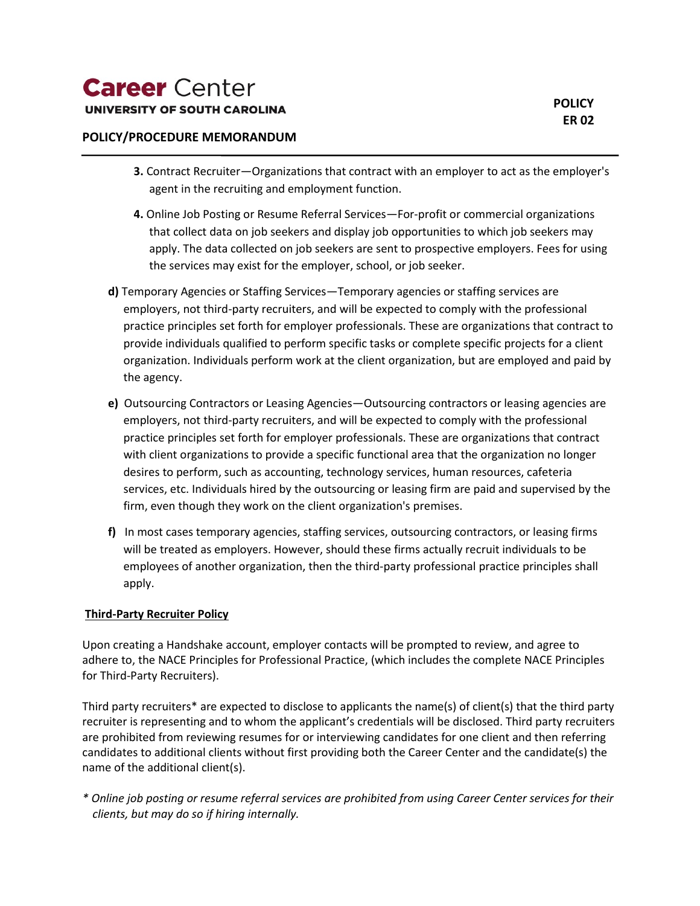- **3.** Contract Recruiter—Organizations that contract with an employer to act as the employer's agent in the recruiting and employment function.
- **4.** Online Job Posting or Resume Referral Services—For-profit or commercial organizations that collect data on job seekers and display job opportunities to which job seekers may apply. The data collected on job seekers are sent to prospective employers. Fees for using the services may exist for the employer, school, or job seeker.
- **d)** Temporary Agencies or Staffing Services—Temporary agencies or staffing services are employers, not third-party recruiters, and will be expected to comply with the professional practice principles set forth for employer professionals. These are organizations that contract to provide individuals qualified to perform specific tasks or complete specific projects for a client organization. Individuals perform work at the client organization, but are employed and paid by the agency.
- **e)** Outsourcing Contractors or Leasing Agencies—Outsourcing contractors or leasing agencies are employers, not third-party recruiters, and will be expected to comply with the professional practice principles set forth for employer professionals. These are organizations that contract with client organizations to provide a specific functional area that the organization no longer desires to perform, such as accounting, technology services, human resources, cafeteria services, etc. Individuals hired by the outsourcing or leasing firm are paid and supervised by the firm, even though they work on the client organization's premises.
- **f)** In most cases temporary agencies, staffing services, outsourcing contractors, or leasing firms will be treated as employers. However, should these firms actually recruit individuals to be employees of another organization, then the third-party professional practice principles shall apply.

## **Third-Party Recruiter Policy**

Upon creating a Handshake account, employer contacts will be prompted to review, and agree to adhere to, the NACE Principles for Professional Practice, (which includes the complete NACE Principles for Third-Party Recruiters).

Third party recruiters\* are expected to disclose to applicants the name(s) of client(s) that the third party recruiter is representing and to whom the applicant's credentials will be disclosed. Third party recruiters are prohibited from reviewing resumes for or interviewing candidates for one client and then referring candidates to additional clients without first providing both the Career Center and the candidate(s) the name of the additional client(s).

*\* Online job posting or resume referral services are prohibited from using Career Center services for their clients, but may do so if hiring internally.*